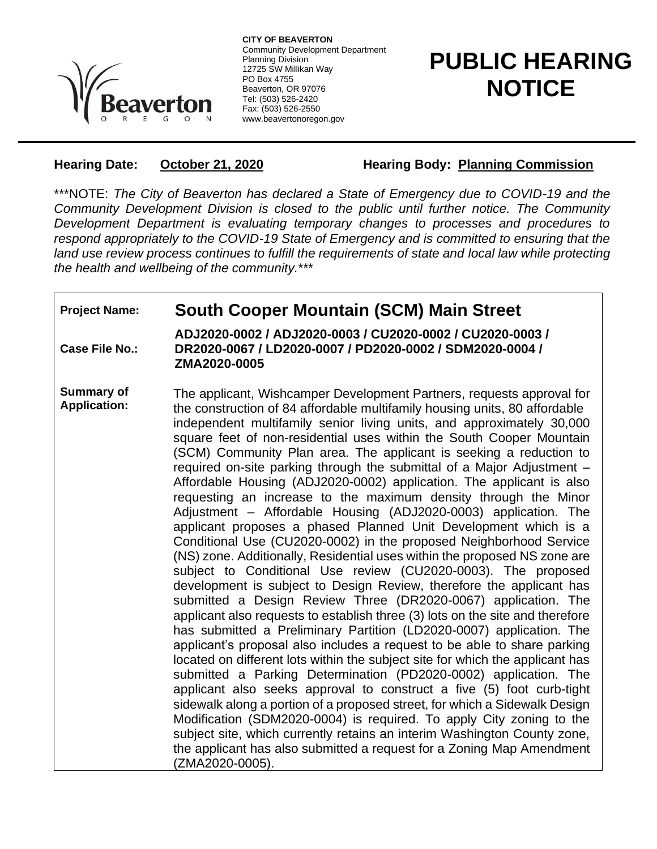

**CITY OF BEAVERTON** Community Development Department Planning Division 12725 SW Millikan Way PO Box 4755 Beaverton, OR 97076 Tel: (503) 526-2420 Fax: (503) 526-2550 www.beavertonoregon.gov

## **PUBLIC HEARING NOTICE**

**Hearing Date: October 21, 2020 Hearing Body: Planning Commission** 

\*\*\*NOTE: *The City of Beaverton has declared a State of Emergency due to COVID-19 and the Community Development Division is closed to the public until further notice. The Community Development Department is evaluating temporary changes to processes and procedures to respond appropriately to the COVID-19 State of Emergency and is committed to ensuring that the*  land use review process continues to fulfill the requirements of state and local law while protecting *the health and wellbeing of the community.*\*\*\*

## **Project Name: South Cooper Mountain (SCM) Main Street**

**Case File No.: ADJ2020-0002 / ADJ2020-0003 / CU2020-0002 / CU2020-0003 / DR2020-0067 / LD2020-0007 / PD2020-0002 / SDM2020-0004 / ZMA2020-0005**

**Summary of Application:** The applicant, Wishcamper Development Partners, requests approval for the construction of 84 affordable multifamily housing units, 80 affordable independent multifamily senior living units, and approximately 30,000 square feet of non-residential uses within the South Cooper Mountain (SCM) Community Plan area. The applicant is seeking a reduction to required on-site parking through the submittal of a Major Adjustment – Affordable Housing (ADJ2020-0002) application. The applicant is also requesting an increase to the maximum density through the Minor Adjustment – Affordable Housing (ADJ2020-0003) application. The applicant proposes a phased Planned Unit Development which is a Conditional Use (CU2020-0002) in the proposed Neighborhood Service (NS) zone. Additionally, Residential uses within the proposed NS zone are subject to Conditional Use review (CU2020-0003). The proposed development is subject to Design Review, therefore the applicant has submitted a Design Review Three (DR2020-0067) application. The applicant also requests to establish three (3) lots on the site and therefore has submitted a Preliminary Partition (LD2020-0007) application. The applicant's proposal also includes a request to be able to share parking located on different lots within the subject site for which the applicant has submitted a Parking Determination (PD2020-0002) application. The applicant also seeks approval to construct a five (5) foot curb-tight sidewalk along a portion of a proposed street, for which a Sidewalk Design Modification (SDM2020-0004) is required. To apply City zoning to the subject site, which currently retains an interim Washington County zone, the applicant has also submitted a request for a Zoning Map Amendment (ZMA2020-0005).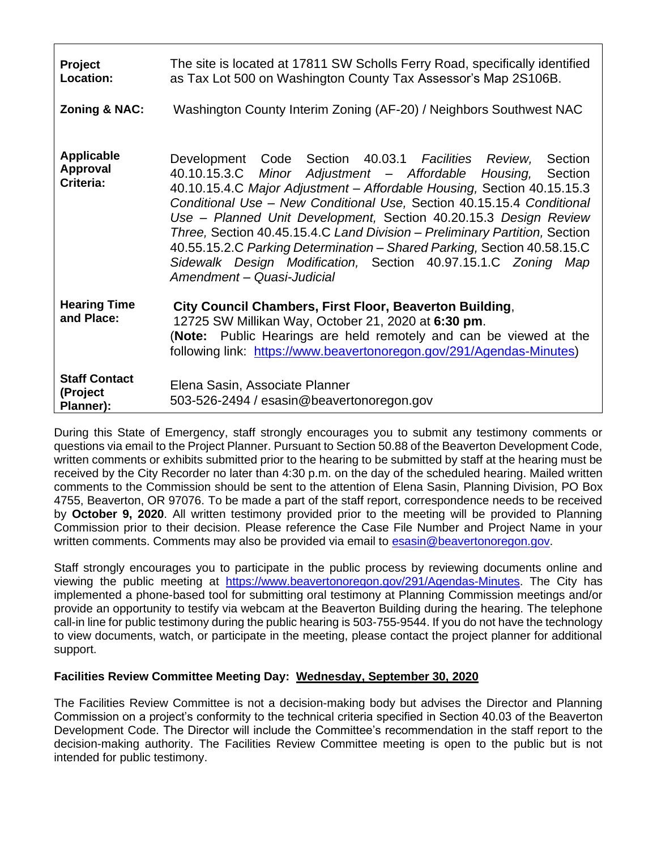| <b>Project</b><br>Location:                       | The site is located at 17811 SW Scholls Ferry Road, specifically identified<br>as Tax Lot 500 on Washington County Tax Assessor's Map 2S106B.                                                                                                                                                                                                                                                                                                                                                                                                                                                                   |
|---------------------------------------------------|-----------------------------------------------------------------------------------------------------------------------------------------------------------------------------------------------------------------------------------------------------------------------------------------------------------------------------------------------------------------------------------------------------------------------------------------------------------------------------------------------------------------------------------------------------------------------------------------------------------------|
| <b>Zoning &amp; NAC:</b>                          | Washington County Interim Zoning (AF-20) / Neighbors Southwest NAC                                                                                                                                                                                                                                                                                                                                                                                                                                                                                                                                              |
| <b>Applicable</b><br><b>Approval</b><br>Criteria: | Development Code Section 40.03.1 Facilities Review,<br>Section<br>40.10.15.3.C Minor Adjustment - Affordable Housing,<br>Section<br>40.10.15.4.C Major Adjustment - Affordable Housing, Section 40.15.15.3<br>Conditional Use - New Conditional Use, Section 40.15.15.4 Conditional<br>Use - Planned Unit Development, Section 40.20.15.3 Design Review<br>Three, Section 40.45.15.4.C Land Division - Preliminary Partition, Section<br>40.55.15.2.C Parking Determination - Shared Parking, Section 40.58.15.C<br>Sidewalk Design Modification, Section 40.97.15.1.C Zoning Map<br>Amendment - Quasi-Judicial |
| <b>Hearing Time</b><br>and Place:                 | City Council Chambers, First Floor, Beaverton Building,<br>12725 SW Millikan Way, October 21, 2020 at 6:30 pm.<br>(Note: Public Hearings are held remotely and can be viewed at the<br>following link: https://www.beavertonoregon.gov/291/Agendas-Minutes)                                                                                                                                                                                                                                                                                                                                                     |
| <b>Staff Contact</b><br>(Project<br>Planner):     | Elena Sasin, Associate Planner<br>503-526-2494 / esasin@beavertonoregon.gov                                                                                                                                                                                                                                                                                                                                                                                                                                                                                                                                     |

During this State of Emergency, staff strongly encourages you to submit any testimony comments or questions via email to the Project Planner. Pursuant to Section 50.88 of the Beaverton Development Code, written comments or exhibits submitted prior to the hearing to be submitted by staff at the hearing must be received by the City Recorder no later than 4:30 p.m. on the day of the scheduled hearing. Mailed written comments to the Commission should be sent to the attention of Elena Sasin, Planning Division, PO Box 4755, Beaverton, OR 97076. To be made a part of the staff report, correspondence needs to be received by **October 9, 2020**. All written testimony provided prior to the meeting will be provided to Planning Commission prior to their decision. Please reference the Case File Number and Project Name in your written comments. Comments may also be provided via email to [esasin@beavertonoregon.gov.](mailto:esasin@beavertonoregon.gov)

Staff strongly encourages you to participate in the public process by reviewing documents online and viewing the public meeting at [https://www.beavertonoregon.gov/291/Agendas-Minutes.](https://www.beavertonoregon.gov/291/Agendas-Minutes) The City has implemented a phone-based tool for submitting oral testimony at Planning Commission meetings and/or provide an opportunity to testify via webcam at the Beaverton Building during the hearing. The telephone call-in line for public testimony during the public hearing is 503-755-9544. If you do not have the technology to view documents, watch, or participate in the meeting, please contact the project planner for additional support.

## **Facilities Review Committee Meeting Day: Wednesday, September 30, 2020**

The Facilities Review Committee is not a decision-making body but advises the Director and Planning Commission on a project's conformity to the technical criteria specified in Section 40.03 of the Beaverton Development Code. The Director will include the Committee's recommendation in the staff report to the decision-making authority. The Facilities Review Committee meeting is open to the public but is not intended for public testimony.